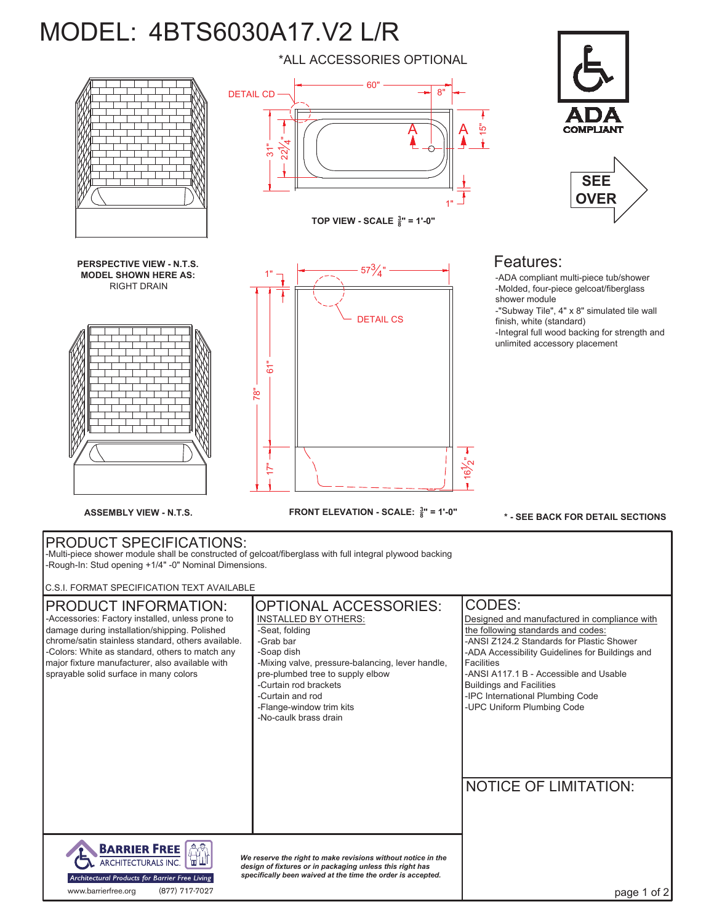## MODEL: 4BTS6030A17.V2 L/R

**TOP VIEW - SCALE <sup>3</sup> 8" = 1'-0" PERSPECTIVE VIEW - N.T.S. MODEL SHOWN HERE AS:** RIGHT DRAIN **SEE OVER** Features: -ADA compliant multi-piece tub/shower -Molded, four-piece gelcoat/fiberglass shower module -"Subway Tile", 4" x 8" simulated tile wall finish, white (standard) -Integral full wood backing for strength and unlimited accessory placement DETAIL CS DETAIL CD 1" 60" .<br>ನ 1" 8"  $\mathsf A$   $\operatorname{\mathsf{\color{blue}A}}$ 15" <u>بار</u><br>22 .<br>न  $57\frac{3}{4}$ "

\*ALL ACCESSORIES OPTIONAL

PRODUCT SPECIFICATIONS: -Multi-piece shower module shall be constructed of gelcoat/fiberglass with full integral plywood backing -Rough-In: Stud opening +1/4" -0" Nominal Dimensions.

**FRONT ELEVATION - SCALE: <sup>3</sup> <sup>8</sup> ASSEMBLY VIEW - N.T.S. " = 1'-0"**

C.S.I. FORMAT SPECIFICATION TEXT AVAILABLE

| םם האחזה הרבו התורחטו ווטבו וטי והאוזוטייני.                                                                                                                                                                                                                                                                                           |                                                                                                                                                                                                                                                                                             |                                                                                                                                                                                                                                                                                                                                                                  |
|----------------------------------------------------------------------------------------------------------------------------------------------------------------------------------------------------------------------------------------------------------------------------------------------------------------------------------------|---------------------------------------------------------------------------------------------------------------------------------------------------------------------------------------------------------------------------------------------------------------------------------------------|------------------------------------------------------------------------------------------------------------------------------------------------------------------------------------------------------------------------------------------------------------------------------------------------------------------------------------------------------------------|
| <b>PRODUCT INFORMATION:</b><br>-Accessories: Factory installed, unless prone to<br>damage during installation/shipping. Polished<br>chrome/satin stainless standard, others available.<br>-Colors: White as standard, others to match any<br>major fixture manufacturer, also available with<br>sprayable solid surface in many colors | <b>OPTIONAL ACCESSORIES:</b><br>INSTALLED BY OTHERS:<br>-Seat. folding<br>-Grab bar<br>-Soap dish<br>-Mixing valve, pressure-balancing, lever handle,<br>pre-plumbed tree to supply elbow<br>-Curtain rod brackets<br>-Curtain and rod<br>-Flange-window trim kits<br>-No-caulk brass drain | CODES:<br>Designed and manufactured in compliance with<br>the following standards and codes:<br>-ANSI Z124.2 Standards for Plastic Shower<br>-ADA Accessibility Guidelines for Buildings and<br><b>Facilities</b><br>-ANSI A117.1 B - Accessible and Usable<br><b>Buildings and Facilities</b><br>-IPC International Plumbing Code<br>-UPC Uniform Plumbing Code |
| <b>BARRIER FREE</b><br>ĤĤ                                                                                                                                                                                                                                                                                                              |                                                                                                                                                                                                                                                                                             | <b>NOTICE OF LIMITATION:</b>                                                                                                                                                                                                                                                                                                                                     |
| ARCHITECTURALS INC.<br>Architectural Products for Barrier Free Living<br>(877) 717-7027<br>www.barrierfree.org                                                                                                                                                                                                                         | We reserve the right to make revisions without notice in the<br>design of fixtures or in packaging unless this right has<br>specifically been waived at the time the order is accepted.                                                                                                     | page 1 of 2                                                                                                                                                                                                                                                                                                                                                      |







**\* - SEE BACK FOR DETAIL SECTIONS**

.<br>-<br>2

 $\mathbf{r}$ 

т